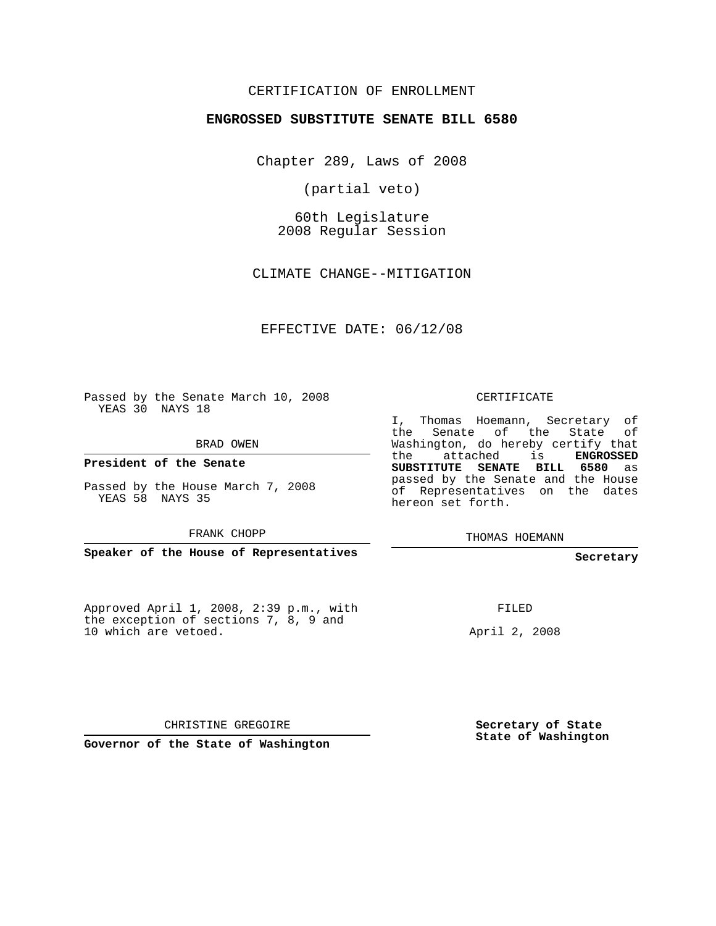## CERTIFICATION OF ENROLLMENT

## **ENGROSSED SUBSTITUTE SENATE BILL 6580**

Chapter 289, Laws of 2008

(partial veto)

60th Legislature 2008 Regular Session

CLIMATE CHANGE--MITIGATION

EFFECTIVE DATE: 06/12/08

Passed by the Senate March 10, 2008 YEAS 30 NAYS 18

BRAD OWEN

**President of the Senate**

Passed by the House March 7, 2008 YEAS 58 NAYS 35

FRANK CHOPP

**Speaker of the House of Representatives**

Approved April 1, 2008, 2:39 p.m., with the exception of sections 7, 8, 9 and 10 which are vetoed.

CERTIFICATE

I, Thomas Hoemann, Secretary of the Senate of the State of Washington, do hereby certify that the attached is **ENGROSSED SUBSTITUTE SENATE BILL 6580** as passed by the Senate and the House of Representatives on the dates hereon set forth.

THOMAS HOEMANN

**Secretary**

FILED

April 2, 2008

CHRISTINE GREGOIRE

**Governor of the State of Washington**

**Secretary of State State of Washington**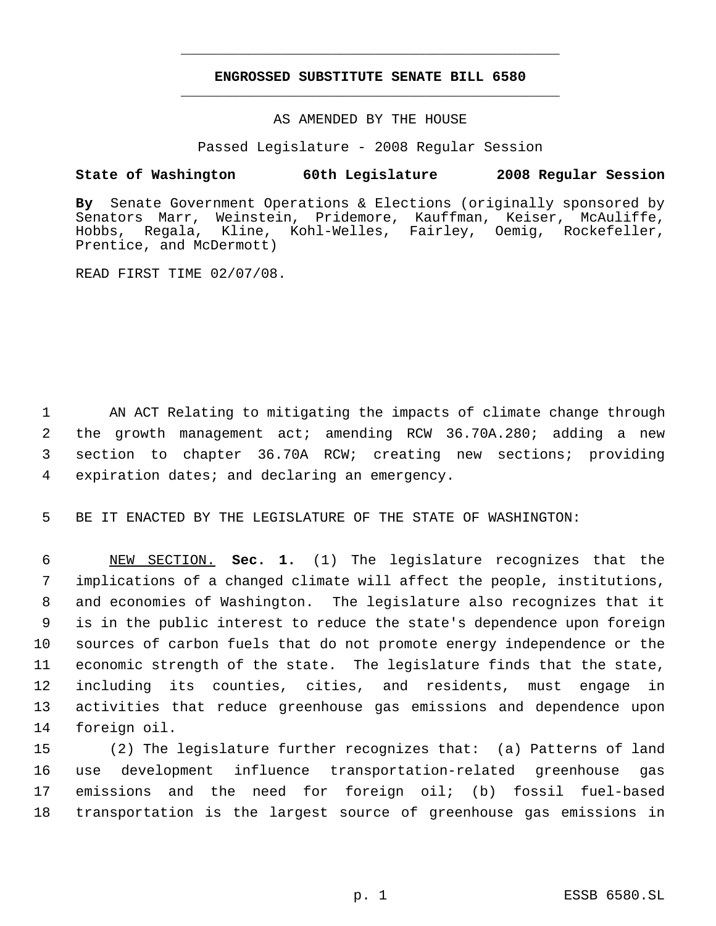## **ENGROSSED SUBSTITUTE SENATE BILL 6580** \_\_\_\_\_\_\_\_\_\_\_\_\_\_\_\_\_\_\_\_\_\_\_\_\_\_\_\_\_\_\_\_\_\_\_\_\_\_\_\_\_\_\_\_\_

\_\_\_\_\_\_\_\_\_\_\_\_\_\_\_\_\_\_\_\_\_\_\_\_\_\_\_\_\_\_\_\_\_\_\_\_\_\_\_\_\_\_\_\_\_

AS AMENDED BY THE HOUSE

Passed Legislature - 2008 Regular Session

## **State of Washington 60th Legislature 2008 Regular Session**

**By** Senate Government Operations & Elections (originally sponsored by Senators Marr, Weinstein, Pridemore, Kauffman, Keiser, McAuliffe, Hobbs, Regala, Kline, Kohl-Welles, Fairley, Oemig, Rockefeller, Prentice, and McDermott)

READ FIRST TIME 02/07/08.

 AN ACT Relating to mitigating the impacts of climate change through the growth management act; amending RCW 36.70A.280; adding a new section to chapter 36.70A RCW; creating new sections; providing expiration dates; and declaring an emergency.

5 BE IT ENACTED BY THE LEGISLATURE OF THE STATE OF WASHINGTON:

 NEW SECTION. **Sec. 1.** (1) The legislature recognizes that the implications of a changed climate will affect the people, institutions, and economies of Washington. The legislature also recognizes that it is in the public interest to reduce the state's dependence upon foreign sources of carbon fuels that do not promote energy independence or the economic strength of the state. The legislature finds that the state, including its counties, cities, and residents, must engage in activities that reduce greenhouse gas emissions and dependence upon foreign oil.

 (2) The legislature further recognizes that: (a) Patterns of land use development influence transportation-related greenhouse gas emissions and the need for foreign oil; (b) fossil fuel-based transportation is the largest source of greenhouse gas emissions in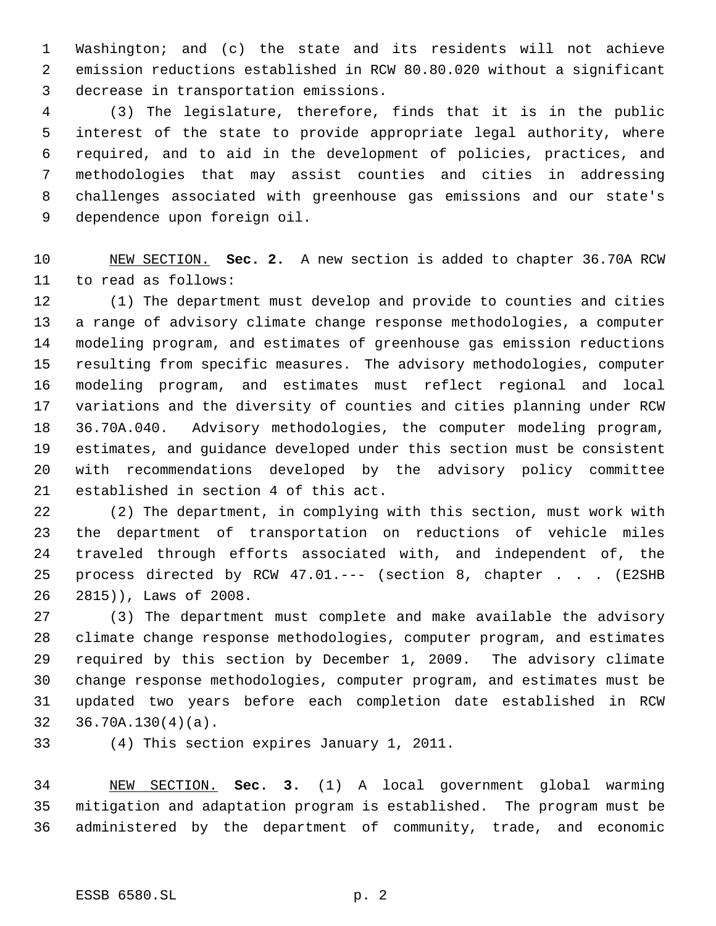Washington; and (c) the state and its residents will not achieve emission reductions established in RCW 80.80.020 without a significant decrease in transportation emissions.

 (3) The legislature, therefore, finds that it is in the public interest of the state to provide appropriate legal authority, where required, and to aid in the development of policies, practices, and methodologies that may assist counties and cities in addressing challenges associated with greenhouse gas emissions and our state's dependence upon foreign oil.

 NEW SECTION. **Sec. 2.** A new section is added to chapter 36.70A RCW to read as follows:

 (1) The department must develop and provide to counties and cities a range of advisory climate change response methodologies, a computer modeling program, and estimates of greenhouse gas emission reductions resulting from specific measures. The advisory methodologies, computer modeling program, and estimates must reflect regional and local variations and the diversity of counties and cities planning under RCW 36.70A.040. Advisory methodologies, the computer modeling program, estimates, and guidance developed under this section must be consistent with recommendations developed by the advisory policy committee established in section 4 of this act.

 (2) The department, in complying with this section, must work with the department of transportation on reductions of vehicle miles traveled through efforts associated with, and independent of, the process directed by RCW 47.01.--- (section 8, chapter . . . (E2SHB 2815)), Laws of 2008.

 (3) The department must complete and make available the advisory climate change response methodologies, computer program, and estimates required by this section by December 1, 2009. The advisory climate change response methodologies, computer program, and estimates must be updated two years before each completion date established in RCW 36.70A.130(4)(a).

(4) This section expires January 1, 2011.

 NEW SECTION. **Sec. 3.** (1) A local government global warming mitigation and adaptation program is established. The program must be administered by the department of community, trade, and economic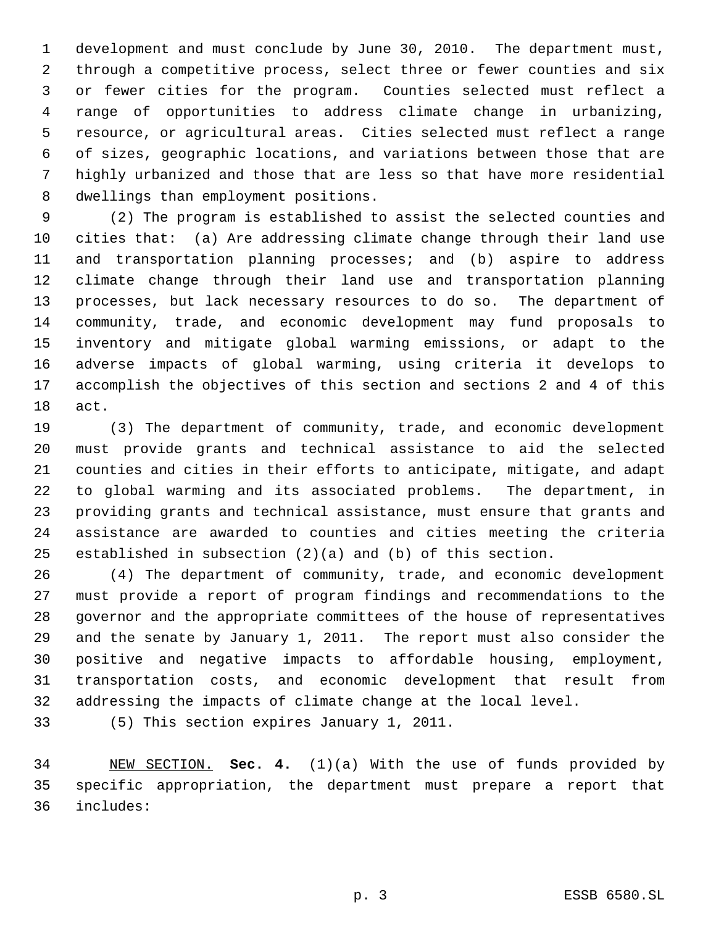development and must conclude by June 30, 2010. The department must, through a competitive process, select three or fewer counties and six or fewer cities for the program. Counties selected must reflect a range of opportunities to address climate change in urbanizing, resource, or agricultural areas. Cities selected must reflect a range of sizes, geographic locations, and variations between those that are highly urbanized and those that are less so that have more residential dwellings than employment positions.

 (2) The program is established to assist the selected counties and cities that: (a) Are addressing climate change through their land use and transportation planning processes; and (b) aspire to address climate change through their land use and transportation planning processes, but lack necessary resources to do so. The department of community, trade, and economic development may fund proposals to inventory and mitigate global warming emissions, or adapt to the adverse impacts of global warming, using criteria it develops to accomplish the objectives of this section and sections 2 and 4 of this act.

 (3) The department of community, trade, and economic development must provide grants and technical assistance to aid the selected counties and cities in their efforts to anticipate, mitigate, and adapt to global warming and its associated problems. The department, in providing grants and technical assistance, must ensure that grants and assistance are awarded to counties and cities meeting the criteria established in subsection (2)(a) and (b) of this section.

 (4) The department of community, trade, and economic development must provide a report of program findings and recommendations to the governor and the appropriate committees of the house of representatives and the senate by January 1, 2011. The report must also consider the positive and negative impacts to affordable housing, employment, transportation costs, and economic development that result from addressing the impacts of climate change at the local level.

(5) This section expires January 1, 2011.

 NEW SECTION. **Sec. 4.** (1)(a) With the use of funds provided by specific appropriation, the department must prepare a report that includes: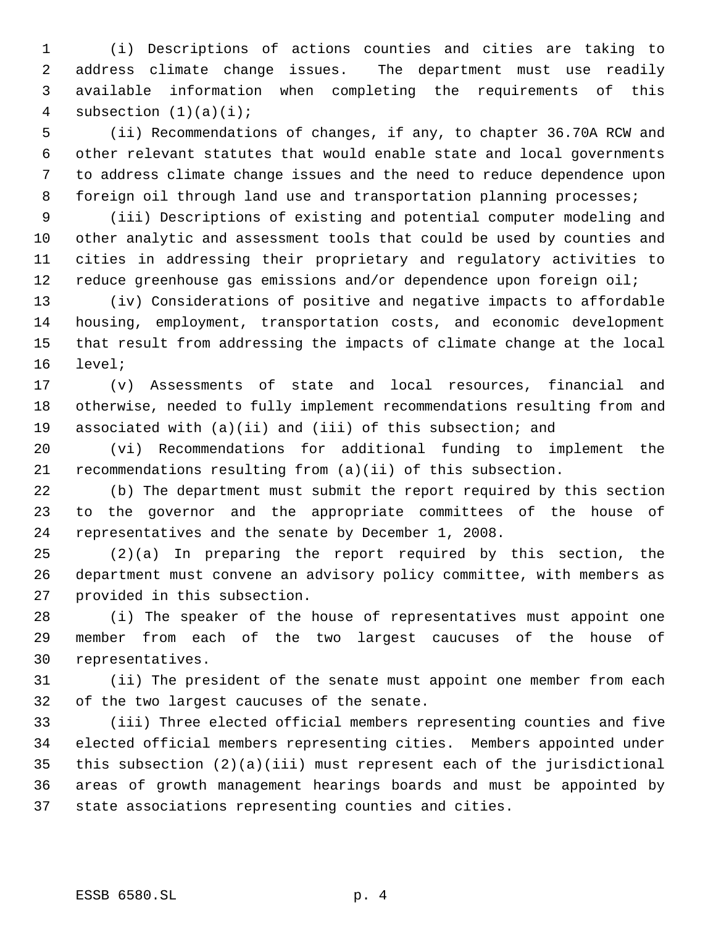(i) Descriptions of actions counties and cities are taking to address climate change issues. The department must use readily available information when completing the requirements of this 4 subsection  $(1)(a)(i)$ ;

 (ii) Recommendations of changes, if any, to chapter 36.70A RCW and other relevant statutes that would enable state and local governments to address climate change issues and the need to reduce dependence upon 8 foreign oil through land use and transportation planning processes;

 (iii) Descriptions of existing and potential computer modeling and other analytic and assessment tools that could be used by counties and cities in addressing their proprietary and regulatory activities to 12 reduce greenhouse gas emissions and/or dependence upon foreign oil;

 (iv) Considerations of positive and negative impacts to affordable housing, employment, transportation costs, and economic development that result from addressing the impacts of climate change at the local level;

 (v) Assessments of state and local resources, financial and otherwise, needed to fully implement recommendations resulting from and associated with (a)(ii) and (iii) of this subsection; and

 (vi) Recommendations for additional funding to implement the recommendations resulting from (a)(ii) of this subsection.

 (b) The department must submit the report required by this section to the governor and the appropriate committees of the house of representatives and the senate by December 1, 2008.

 (2)(a) In preparing the report required by this section, the department must convene an advisory policy committee, with members as provided in this subsection.

 (i) The speaker of the house of representatives must appoint one member from each of the two largest caucuses of the house of representatives.

 (ii) The president of the senate must appoint one member from each of the two largest caucuses of the senate.

 (iii) Three elected official members representing counties and five elected official members representing cities. Members appointed under this subsection (2)(a)(iii) must represent each of the jurisdictional areas of growth management hearings boards and must be appointed by state associations representing counties and cities.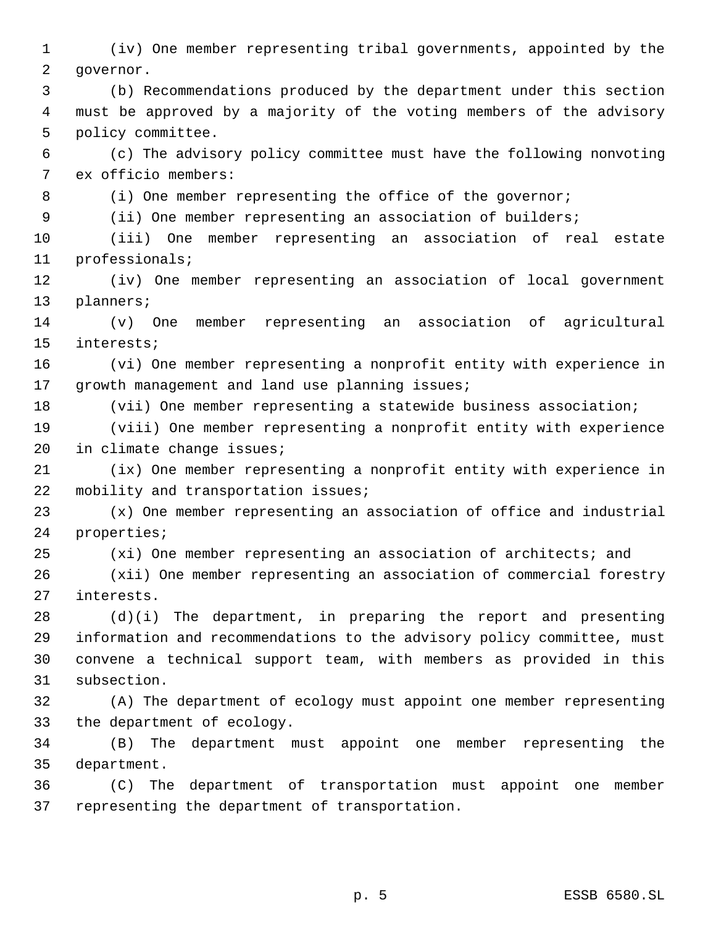(iv) One member representing tribal governments, appointed by the governor.

 (b) Recommendations produced by the department under this section must be approved by a majority of the voting members of the advisory policy committee.

 (c) The advisory policy committee must have the following nonvoting ex officio members:

8 (i) One member representing the office of the governor;

(ii) One member representing an association of builders;

 (iii) One member representing an association of real estate professionals;

 (iv) One member representing an association of local government planners;

 (v) One member representing an association of agricultural interests;

 (vi) One member representing a nonprofit entity with experience in 17 growth management and land use planning issues;

(vii) One member representing a statewide business association;

 (viii) One member representing a nonprofit entity with experience in climate change issues;

 (ix) One member representing a nonprofit entity with experience in mobility and transportation issues;

 (x) One member representing an association of office and industrial properties;

(xi) One member representing an association of architects; and

 (xii) One member representing an association of commercial forestry interests.

 (d)(i) The department, in preparing the report and presenting information and recommendations to the advisory policy committee, must convene a technical support team, with members as provided in this subsection.

 (A) The department of ecology must appoint one member representing the department of ecology.

 (B) The department must appoint one member representing the department.

 (C) The department of transportation must appoint one member representing the department of transportation.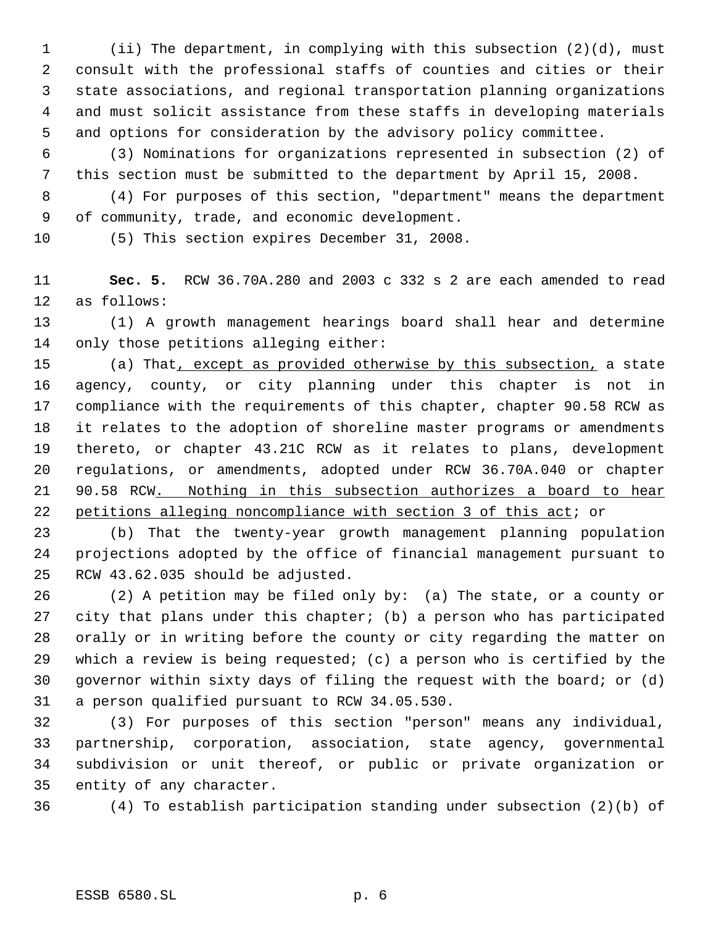(ii) The department, in complying with this subsection (2)(d), must consult with the professional staffs of counties and cities or their state associations, and regional transportation planning organizations and must solicit assistance from these staffs in developing materials and options for consideration by the advisory policy committee.

 (3) Nominations for organizations represented in subsection (2) of this section must be submitted to the department by April 15, 2008.

 (4) For purposes of this section, "department" means the department of community, trade, and economic development.

(5) This section expires December 31, 2008.

 **Sec. 5.** RCW 36.70A.280 and 2003 c 332 s 2 are each amended to read as follows:

 (1) A growth management hearings board shall hear and determine only those petitions alleging either:

15 (a) That, except as provided otherwise by this subsection, a state agency, county, or city planning under this chapter is not in compliance with the requirements of this chapter, chapter 90.58 RCW as it relates to the adoption of shoreline master programs or amendments thereto, or chapter 43.21C RCW as it relates to plans, development regulations, or amendments, adopted under RCW 36.70A.040 or chapter 90.58 RCW. Nothing in this subsection authorizes a board to hear petitions alleging noncompliance with section 3 of this act; or

 (b) That the twenty-year growth management planning population projections adopted by the office of financial management pursuant to RCW 43.62.035 should be adjusted.

 (2) A petition may be filed only by: (a) The state, or a county or city that plans under this chapter; (b) a person who has participated orally or in writing before the county or city regarding the matter on which a review is being requested; (c) a person who is certified by the governor within sixty days of filing the request with the board; or (d) a person qualified pursuant to RCW 34.05.530.

 (3) For purposes of this section "person" means any individual, partnership, corporation, association, state agency, governmental subdivision or unit thereof, or public or private organization or entity of any character.

(4) To establish participation standing under subsection (2)(b) of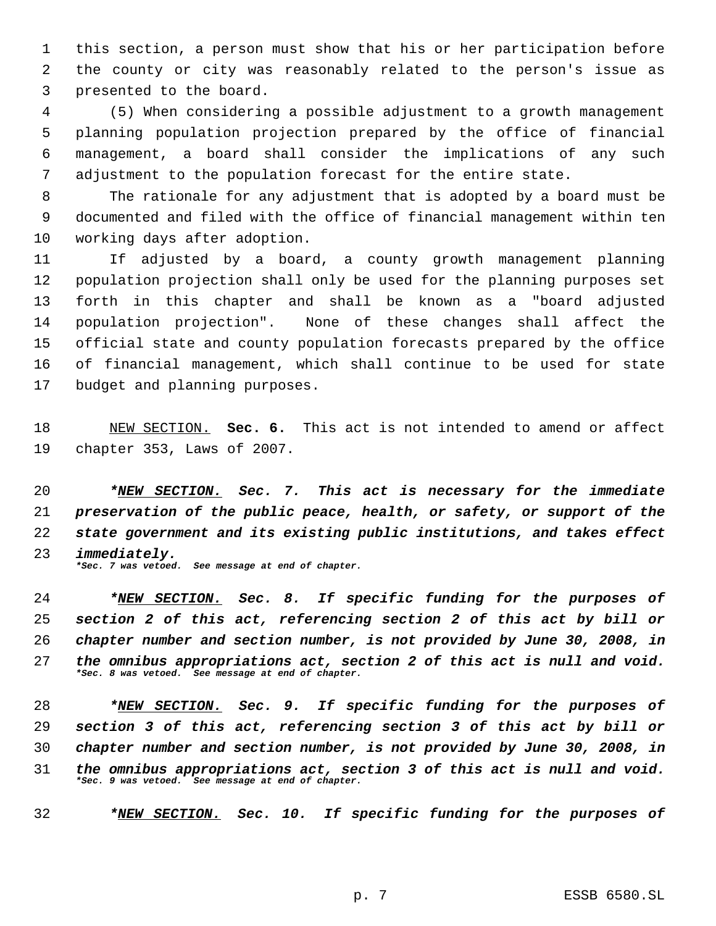this section, a person must show that his or her participation before the county or city was reasonably related to the person's issue as presented to the board.

 (5) When considering a possible adjustment to a growth management planning population projection prepared by the office of financial management, a board shall consider the implications of any such adjustment to the population forecast for the entire state.

 The rationale for any adjustment that is adopted by a board must be documented and filed with the office of financial management within ten working days after adoption.

 If adjusted by a board, a county growth management planning population projection shall only be used for the planning purposes set forth in this chapter and shall be known as a "board adjusted population projection". None of these changes shall affect the official state and county population forecasts prepared by the office of financial management, which shall continue to be used for state budget and planning purposes.

 NEW SECTION. **Sec. 6.** This act is not intended to amend or affect chapter 353, Laws of 2007.

 *\*NEW SECTION. Sec. 7. This act is necessary for the immediate preservation of the public peace, health, or safety, or support of the state government and its existing public institutions, and takes effect immediately. \*Sec. 7 was vetoed. See message at end of chapter.*

 *\*NEW SECTION. Sec. 8. If specific funding for the purposes of section 2 of this act, referencing section 2 of this act by bill or chapter number and section number, is not provided by June 30, 2008, in the omnibus appropriations act, section 2 of this act is null and void. \*Sec. 8 was vetoed. See message at end of chapter.*

 *\*NEW SECTION. Sec. 9. If specific funding for the purposes of section 3 of this act, referencing section 3 of this act by bill or chapter number and section number, is not provided by June 30, 2008, in the omnibus appropriations act, section 3 of this act is null and void. \*Sec. 9 was vetoed. See message at end of chapter.*

*\*NEW SECTION. Sec. 10. If specific funding for the purposes of*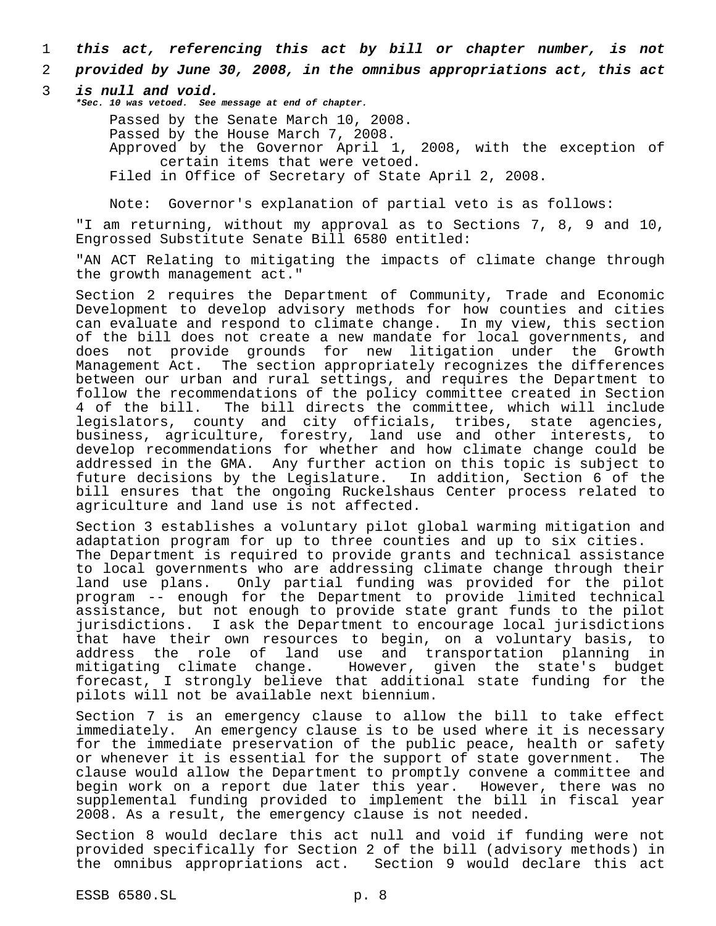- 1 *this act, referencing this act by bill or chapter number, is not*
- 2 *provided by June 30, 2008, in the omnibus appropriations act, this act*
- 3 *is null and void.*

*\*Sec. 10 was vetoed. See message at end of chapter.*

Passed by the Senate March 10, 2008. Passed by the House March 7, 2008. Approved by the Governor April 1, 2008, with the exception of certain items that were vetoed. Filed in Office of Secretary of State April 2, 2008.

Note: Governor's explanation of partial veto is as follows:

"I am returning, without my approval as to Sections 7, 8, 9 and 10, Engrossed Substitute Senate Bill 6580 entitled:

"AN ACT Relating to mitigating the impacts of climate change through the growth management act."

Section 2 requires the Department of Community, Trade and Economic Development to develop advisory methods for how counties and cities can evaluate and respond to climate change. In my view, this section of the bill does not create a new mandate for local governments, and does not provide grounds for new litigation under the Growth Management Act. The section appropriately recognizes the differences between our urban and rural settings, and requires the Department to follow the recommendations of the policy committee created in Section 4 of the bill. The bill directs the committee, which will include legislators, county and city officials, tribes, state agencies, business, agriculture, forestry, land use and other interests, to develop recommendations for whether and how climate change could be addressed in the GMA. Any further action on this topic is subject to future decisions by the Legislature. In addition, Section 6 of the bill ensures that the ongoing Ruckelshaus Center process related to agriculture and land use is not affected.

Section 3 establishes a voluntary pilot global warming mitigation and adaptation program for up to three counties and up to six cities. The Department is required to provide grants and technical assistance to local governments who are addressing climate change through their land use plans. Only partial funding was provided for the pilot program -- enough for the Department to provide limited technical assistance, but not enough to provide state grant funds to the pilot jurisdictions. I ask the Department to encourage local jurisdictions that have their own resources to begin, on a voluntary basis, to address the role of land use and transportation planning in mitigating climate change. However, given the state's budget forecast, I strongly believe that additional state funding for the pilots will not be available next biennium.

Section 7 is an emergency clause to allow the bill to take effect immediately. An emergency clause is to be used where it is necessary for the immediate preservation of the public peace, health or safety or whenever it is essential for the support of state government. The clause would allow the Department to promptly convene a committee and begin work on a report due later this year. However, there was no supplemental funding provided to implement the bill in fiscal year 2008. As a result, the emergency clause is not needed.

Section 8 would declare this act null and void if funding were not provided specifically for Section 2 of the bill (advisory methods) in the omnibus appropriations act. Section 9 would declare this act